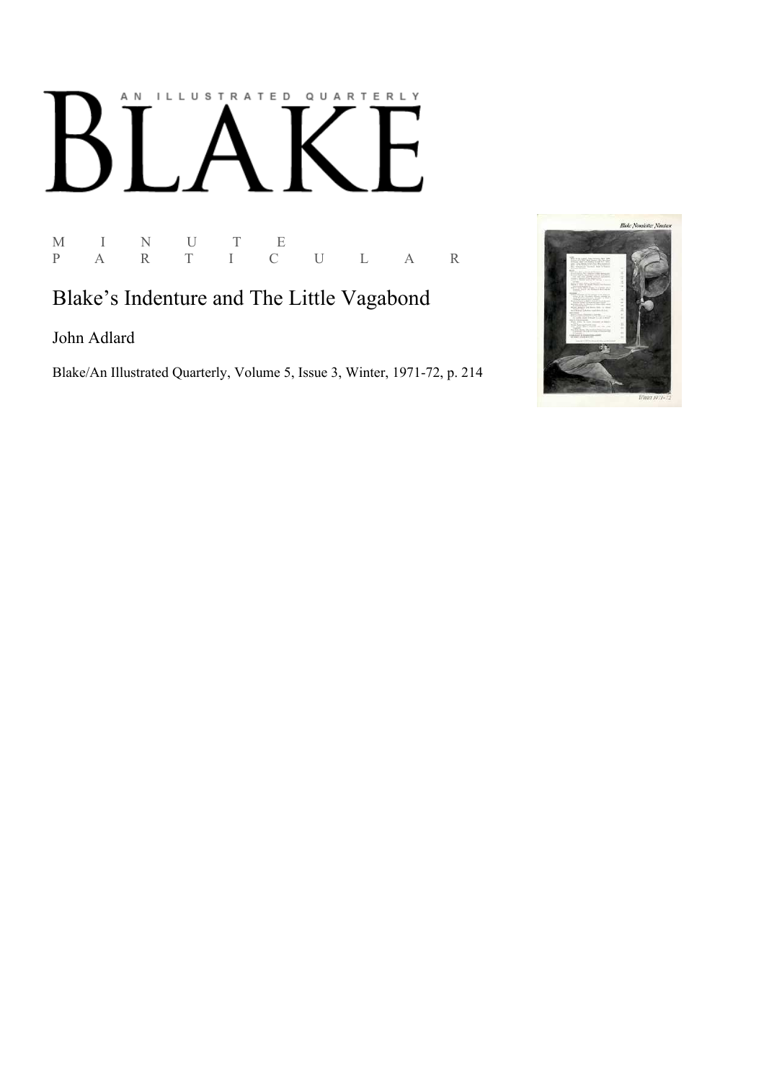## AN ILLUSTRATED QUARTERLY

M I N U T<br>P A R T I  $\begin{array}{ccc} E & & \\ C & U & L & A & R \end{array}$ 

## Blake's Indenture and The Little Vagabond

John Adlard

Blake/An Illustrated Quarterly, Volume 5, Issue 3, Winter, 1971-72, p. 214